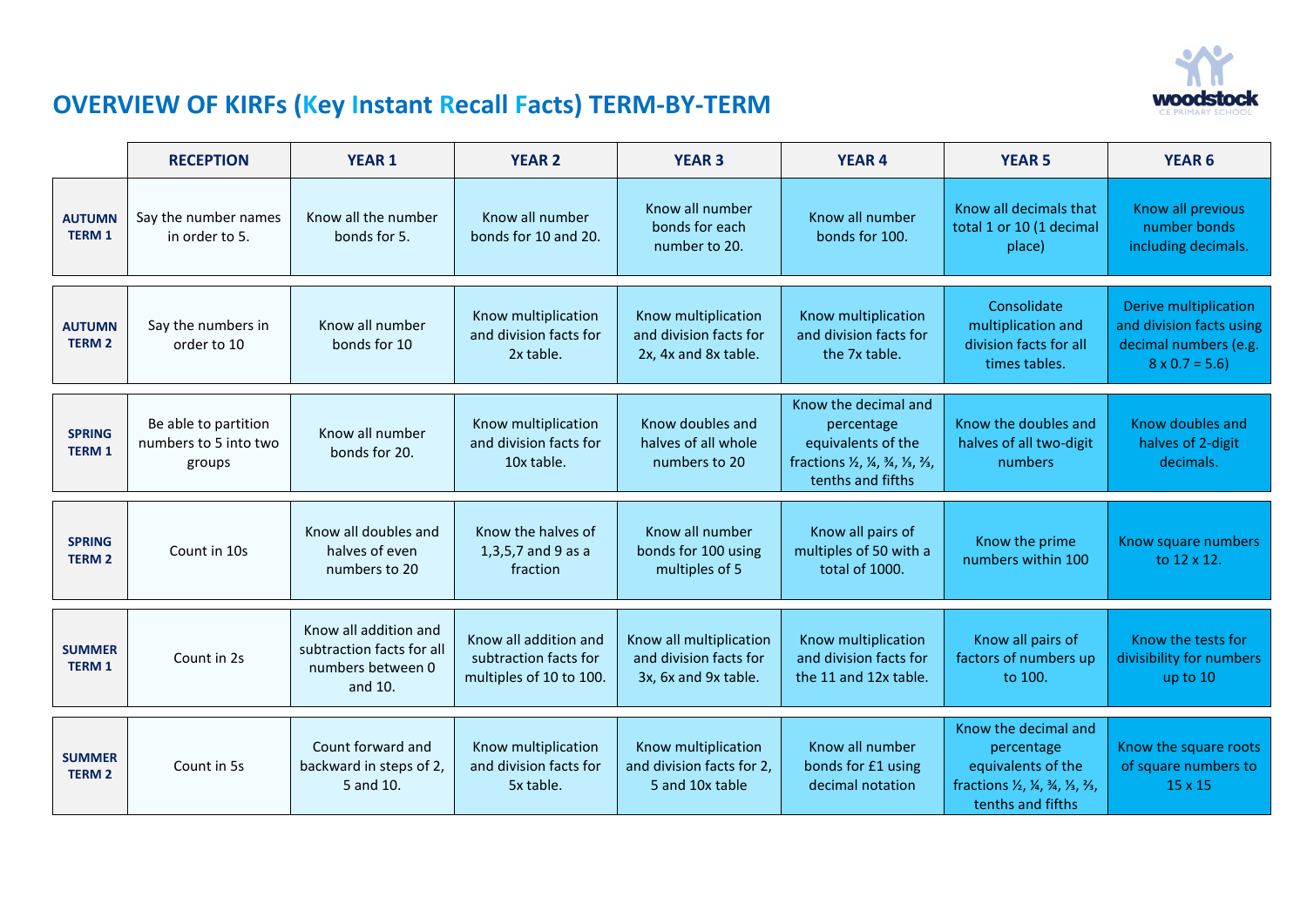

## **OVERVIEW OF KIRFs (Key Instant Recall Facts) TERM-BY-TERM**

|                                | <b>RECEPTION</b>                                        | <b>YEAR 1</b>                                                                      | <b>YEAR 2</b>                                                             | <b>YEAR 3</b>                                                             | <b>YEAR 4</b>                                                                                                       | <b>YEAR 5</b>                                                                                                       | <b>YEAR 6</b>                                                                                      |
|--------------------------------|---------------------------------------------------------|------------------------------------------------------------------------------------|---------------------------------------------------------------------------|---------------------------------------------------------------------------|---------------------------------------------------------------------------------------------------------------------|---------------------------------------------------------------------------------------------------------------------|----------------------------------------------------------------------------------------------------|
| <b>AUTUMN</b><br><b>TERM 1</b> | Say the number names<br>in order to 5.                  | Know all the number<br>bonds for 5.                                                | Know all number<br>bonds for 10 and 20.                                   | Know all number<br>bonds for each<br>number to 20.                        | Know all number<br>bonds for 100.                                                                                   | Know all decimals that<br>total 1 or 10 (1 decimal<br>place)                                                        | Know all previous<br>number bonds<br>including decimals.                                           |
| <b>AUTUMN</b><br><b>TERM 2</b> | Say the numbers in<br>order to 10                       | Know all number<br>bonds for 10                                                    | Know multiplication<br>and division facts for<br>2x table.                | Know multiplication<br>and division facts for<br>2x, 4x and 8x table.     | Know multiplication<br>and division facts for<br>the 7x table.                                                      | Consolidate<br>multiplication and<br>division facts for all<br>times tables.                                        | Derive multiplication<br>and division facts using<br>decimal numbers (e.g.<br>$8 \times 0.7 = 5.6$ |
| <b>SPRING</b><br><b>TERM 1</b> | Be able to partition<br>numbers to 5 into two<br>groups | Know all number<br>bonds for 20.                                                   | Know multiplication<br>and division facts for<br>10x table.               | Know doubles and<br>halves of all whole<br>numbers to 20                  | Know the decimal and<br>percentage<br>equivalents of the<br>fractions 1/2, 1/4, 3/4, 1/3, 3/3,<br>tenths and fifths | Know the doubles and<br>halves of all two-digit<br>numbers                                                          | Know doubles and<br>halves of 2-digit<br>decimals.                                                 |
| <b>SPRING</b><br><b>TERM 2</b> | Count in 10s                                            | Know all doubles and<br>halves of even<br>numbers to 20                            | Know the halves of<br>1,3,5,7 and 9 as a<br>fraction                      | Know all number<br>bonds for 100 using<br>multiples of 5                  | Know all pairs of<br>multiples of 50 with a<br>total of 1000.                                                       | Know the prime<br>numbers within 100                                                                                | Know square numbers<br>to 12 x 12.                                                                 |
| <b>SUMMER</b><br><b>TERM 1</b> | Count in 2s                                             | Know all addition and<br>subtraction facts for all<br>numbers between 0<br>and 10. | Know all addition and<br>subtraction facts for<br>multiples of 10 to 100. | Know all multiplication<br>and division facts for<br>3x, 6x and 9x table. | Know multiplication<br>and division facts for<br>the 11 and 12x table.                                              | Know all pairs of<br>factors of numbers up<br>to 100.                                                               | Know the tests for<br>divisibility for numbers<br>up to 10                                         |
| <b>SUMMER</b><br><b>TERM 2</b> | Count in 5s                                             | Count forward and<br>backward in steps of 2,<br>5 and 10.                          | Know multiplication<br>and division facts for<br>5x table.                | Know multiplication<br>and division facts for 2,<br>5 and 10x table       | Know all number<br>bonds for £1 using<br>decimal notation                                                           | Know the decimal and<br>percentage<br>equivalents of the<br>fractions 1/2, 1/4, 3/4, 1/3, 3/3,<br>tenths and fifths | Know the square roots<br>of square numbers to<br>$15 \times 15$                                    |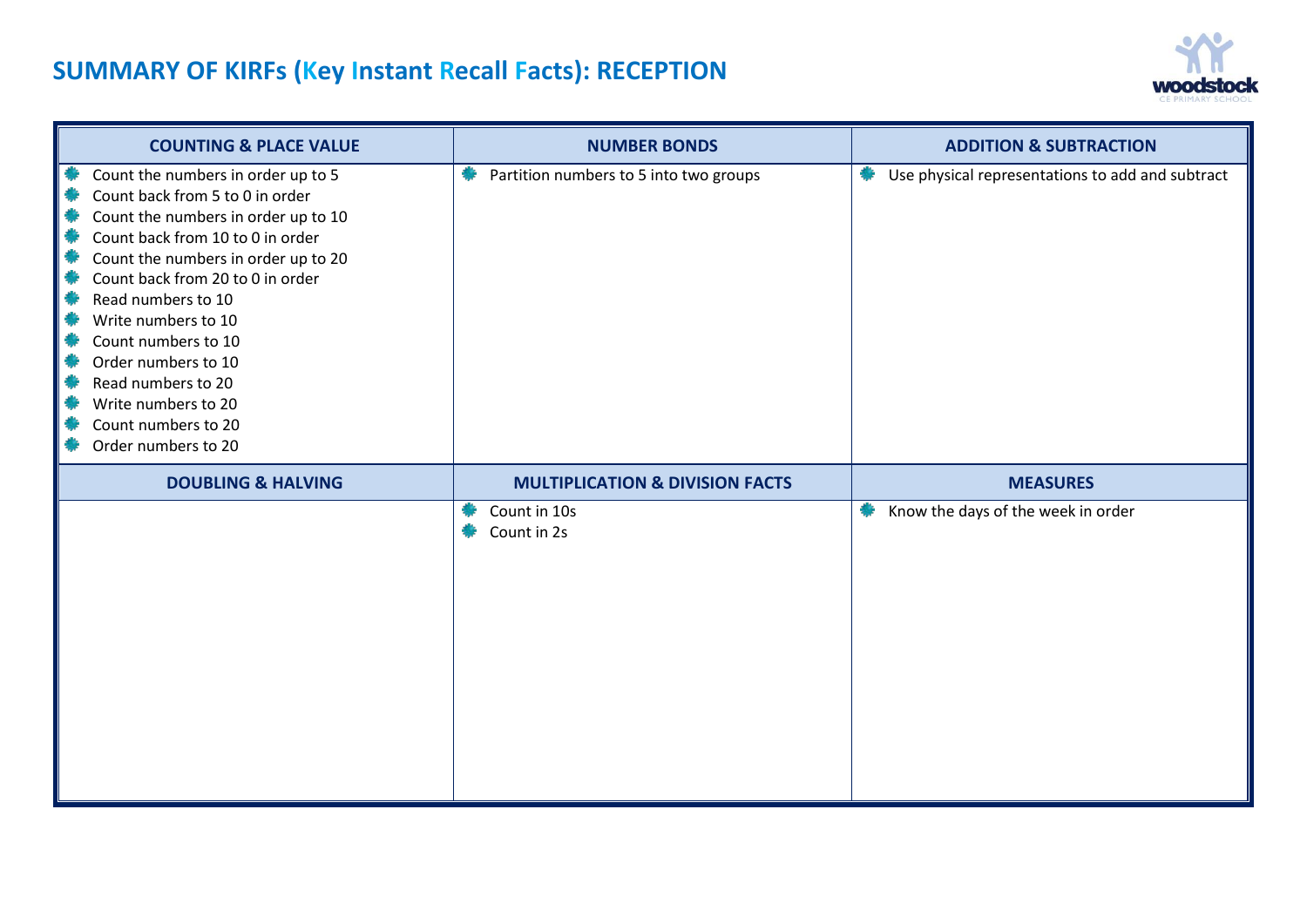# **SUMMARY OF KIRFs (Key Instant Recall Facts): RECEPTION**



| <b>COUNTING &amp; PLACE VALUE</b>                                                                                                                                                                                                                                                                                                                                                                                 | <b>NUMBER BONDS</b>                        | <b>ADDITION &amp; SUBTRACTION</b>                     |
|-------------------------------------------------------------------------------------------------------------------------------------------------------------------------------------------------------------------------------------------------------------------------------------------------------------------------------------------------------------------------------------------------------------------|--------------------------------------------|-------------------------------------------------------|
| Count the numbers in order up to 5<br>Count back from 5 to 0 in order<br>Count the numbers in order up to 10<br>Count back from 10 to 0 in order<br>Count the numbers in order up to 20<br>Count back from 20 to 0 in order<br>Read numbers to 10<br>Write numbers to 10<br>Count numbers to 10<br>Order numbers to 10<br>Read numbers to 20<br>Write numbers to 20<br>Count numbers to 20<br>Order numbers to 20 | Partition numbers to 5 into two groups     | Use physical representations to add and subtract<br>豢 |
| <b>DOUBLING &amp; HALVING</b>                                                                                                                                                                                                                                                                                                                                                                                     | <b>MULTIPLICATION &amp; DIVISION FACTS</b> | <b>MEASURES</b>                                       |
|                                                                                                                                                                                                                                                                                                                                                                                                                   | Count in 10s<br>Count in 2s                | Know the days of the week in order                    |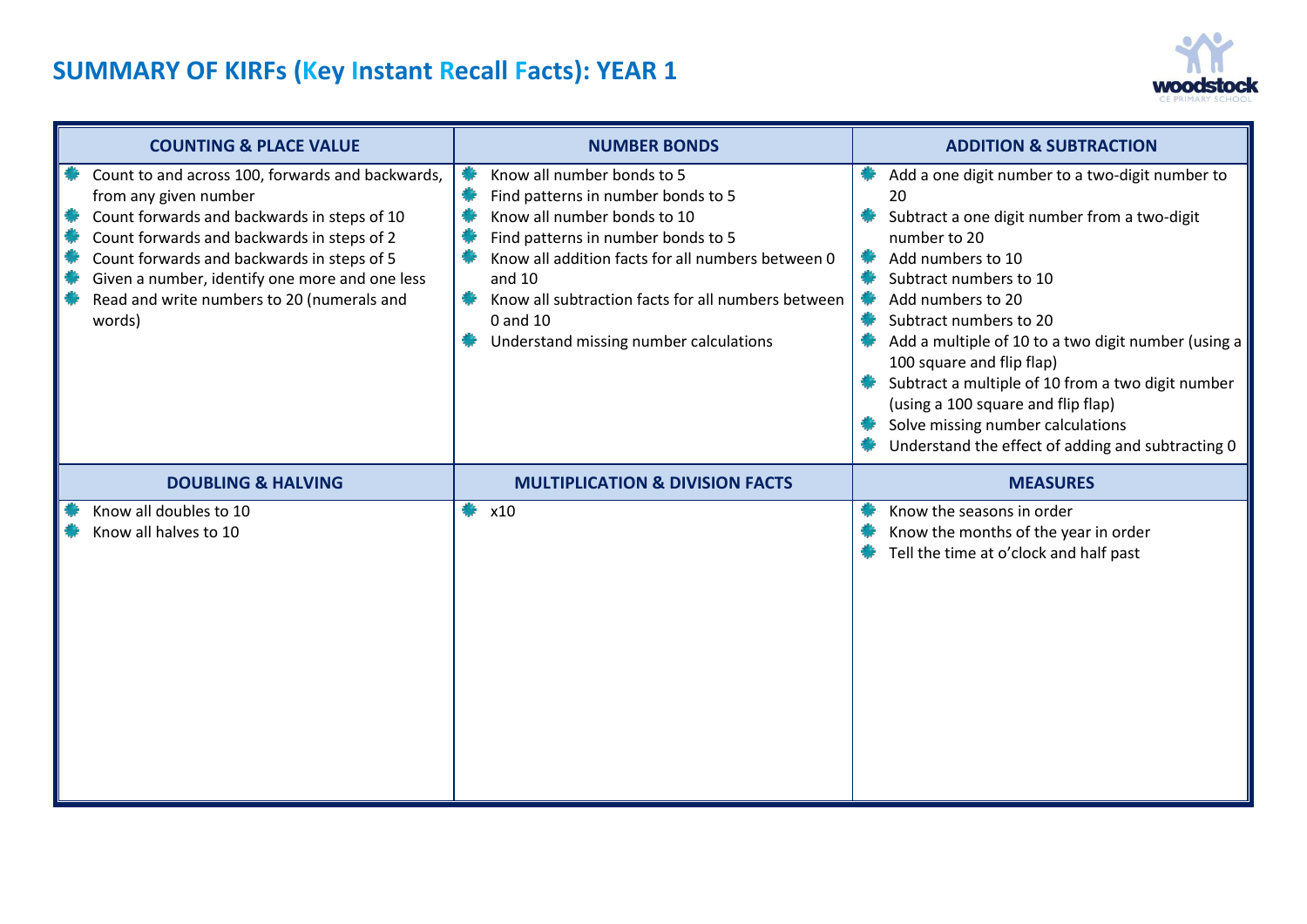

| <b>COUNTING &amp; PLACE VALUE</b> |                                                                                                                                                                                                                                                                                                                                | <b>NUMBER BONDS</b> |                                                                                                                                                                                                                                                                                                                    | <b>ADDITION &amp; SUBTRACTION</b> |                                                                                                                                                                                                                                                                                                                                                                                                                                                                                              |  |
|-----------------------------------|--------------------------------------------------------------------------------------------------------------------------------------------------------------------------------------------------------------------------------------------------------------------------------------------------------------------------------|---------------------|--------------------------------------------------------------------------------------------------------------------------------------------------------------------------------------------------------------------------------------------------------------------------------------------------------------------|-----------------------------------|----------------------------------------------------------------------------------------------------------------------------------------------------------------------------------------------------------------------------------------------------------------------------------------------------------------------------------------------------------------------------------------------------------------------------------------------------------------------------------------------|--|
|                                   | Count to and across 100, forwards and backwards,<br>from any given number<br>Count forwards and backwards in steps of 10<br>Count forwards and backwards in steps of 2<br>Count forwards and backwards in steps of 5<br>Given a number, identify one more and one less<br>Read and write numbers to 20 (numerals and<br>words) |                     | Know all number bonds to 5<br>Find patterns in number bonds to 5<br>Know all number bonds to 10<br>Find patterns in number bonds to 5<br>Know all addition facts for all numbers between 0<br>and $10$<br>Know all subtraction facts for all numbers between<br>0 and 10<br>Understand missing number calculations | 鸒<br>鮝                            | Add a one digit number to a two-digit number to<br>20<br>Subtract a one digit number from a two-digit<br>number to 20<br>Add numbers to 10<br>Subtract numbers to 10<br>Add numbers to 20<br>Subtract numbers to 20<br>Add a multiple of 10 to a two digit number (using a<br>100 square and flip flap)<br>Subtract a multiple of 10 from a two digit number<br>(using a 100 square and flip flap)<br>Solve missing number calculations<br>Understand the effect of adding and subtracting 0 |  |
|                                   | <b>DOUBLING &amp; HALVING</b>                                                                                                                                                                                                                                                                                                  |                     | <b>MULTIPLICATION &amp; DIVISION FACTS</b>                                                                                                                                                                                                                                                                         |                                   | <b>MEASURES</b>                                                                                                                                                                                                                                                                                                                                                                                                                                                                              |  |
|                                   | Know all doubles to 10<br>Know all halves to 10                                                                                                                                                                                                                                                                                |                     | x10                                                                                                                                                                                                                                                                                                                |                                   | Know the seasons in order<br>Know the months of the year in order<br>Tell the time at o'clock and half past                                                                                                                                                                                                                                                                                                                                                                                  |  |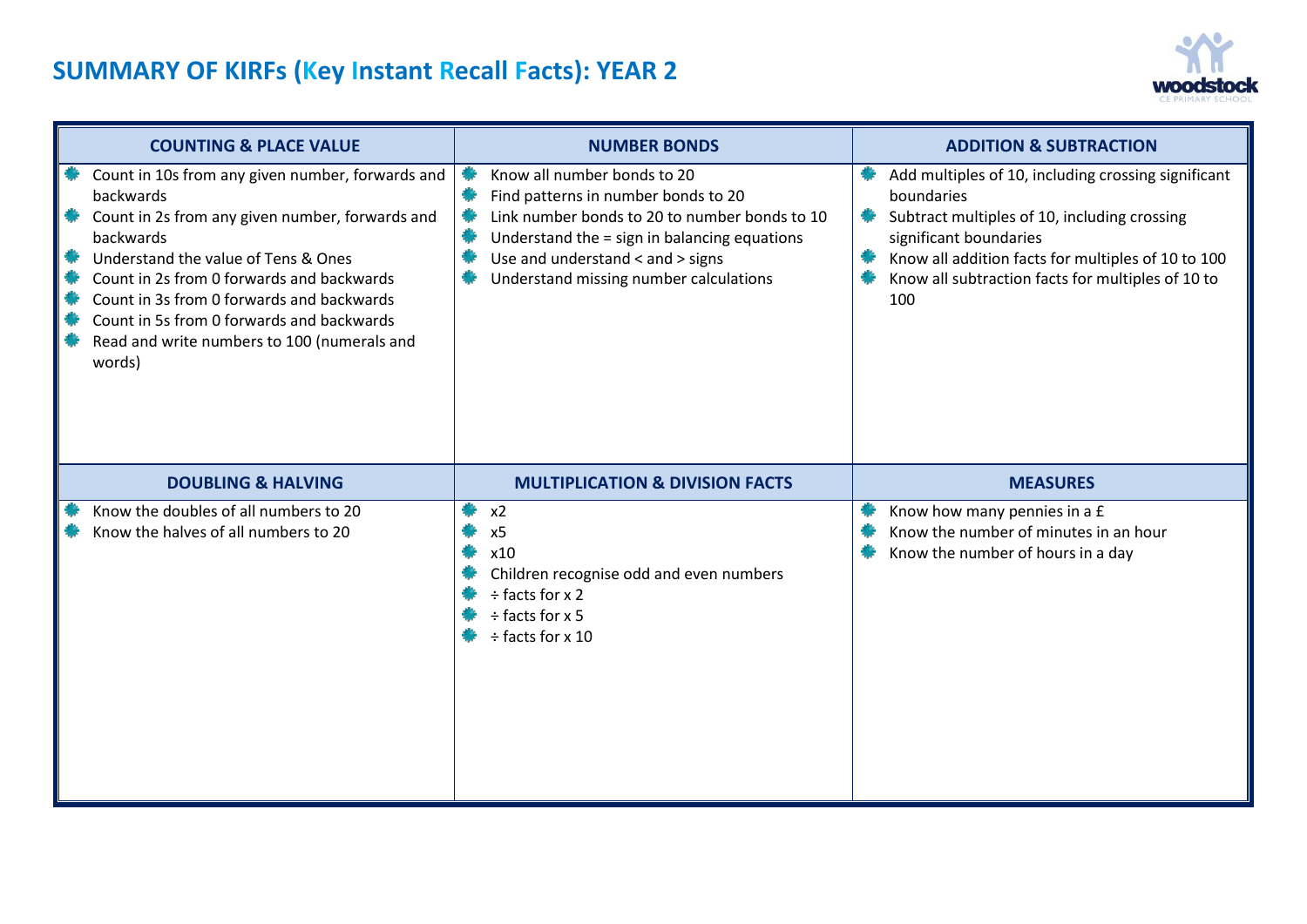

| <b>COUNTING &amp; PLACE VALUE</b>                                                                                                                                                                                                                                                                                                                                    |  | <b>NUMBER BONDS</b>                                                                                                                                                                                                                               | <b>ADDITION &amp; SUBTRACTION</b>                                                                                                                                                                                                                             |  |  |
|----------------------------------------------------------------------------------------------------------------------------------------------------------------------------------------------------------------------------------------------------------------------------------------------------------------------------------------------------------------------|--|---------------------------------------------------------------------------------------------------------------------------------------------------------------------------------------------------------------------------------------------------|---------------------------------------------------------------------------------------------------------------------------------------------------------------------------------------------------------------------------------------------------------------|--|--|
| Count in 10s from any given number, forwards and<br>backwards<br>Count in 2s from any given number, forwards and<br>backwards<br>Understand the value of Tens & Ones<br>Count in 2s from 0 forwards and backwards<br>Count in 3s from 0 forwards and backwards<br>Count in 5s from 0 forwards and backwards<br>Read and write numbers to 100 (numerals and<br>words) |  | Know all number bonds to 20<br>Find patterns in number bonds to 20<br>Link number bonds to 20 to number bonds to 10<br>Understand the = sign in balancing equations<br>Use and understand < and > signs<br>Understand missing number calculations | Add multiples of 10, including crossing significant<br>boundaries<br>Subtract multiples of 10, including crossing<br>significant boundaries<br>Know all addition facts for multiples of 10 to 100<br>Know all subtraction facts for multiples of 10 to<br>100 |  |  |
| <b>DOUBLING &amp; HALVING</b>                                                                                                                                                                                                                                                                                                                                        |  | <b>MULTIPLICATION &amp; DIVISION FACTS</b>                                                                                                                                                                                                        | <b>MEASURES</b>                                                                                                                                                                                                                                               |  |  |
| Know the doubles of all numbers to 20<br>Know the halves of all numbers to 20                                                                                                                                                                                                                                                                                        |  | x2<br>x5<br>x10<br>Children recognise odd and even numbers<br>$\div$ facts for x 2<br>$\div$ facts for x 5<br>÷ facts for x 10                                                                                                                    | Know how many pennies in a £<br>Know the number of minutes in an hour<br>Know the number of hours in a day                                                                                                                                                    |  |  |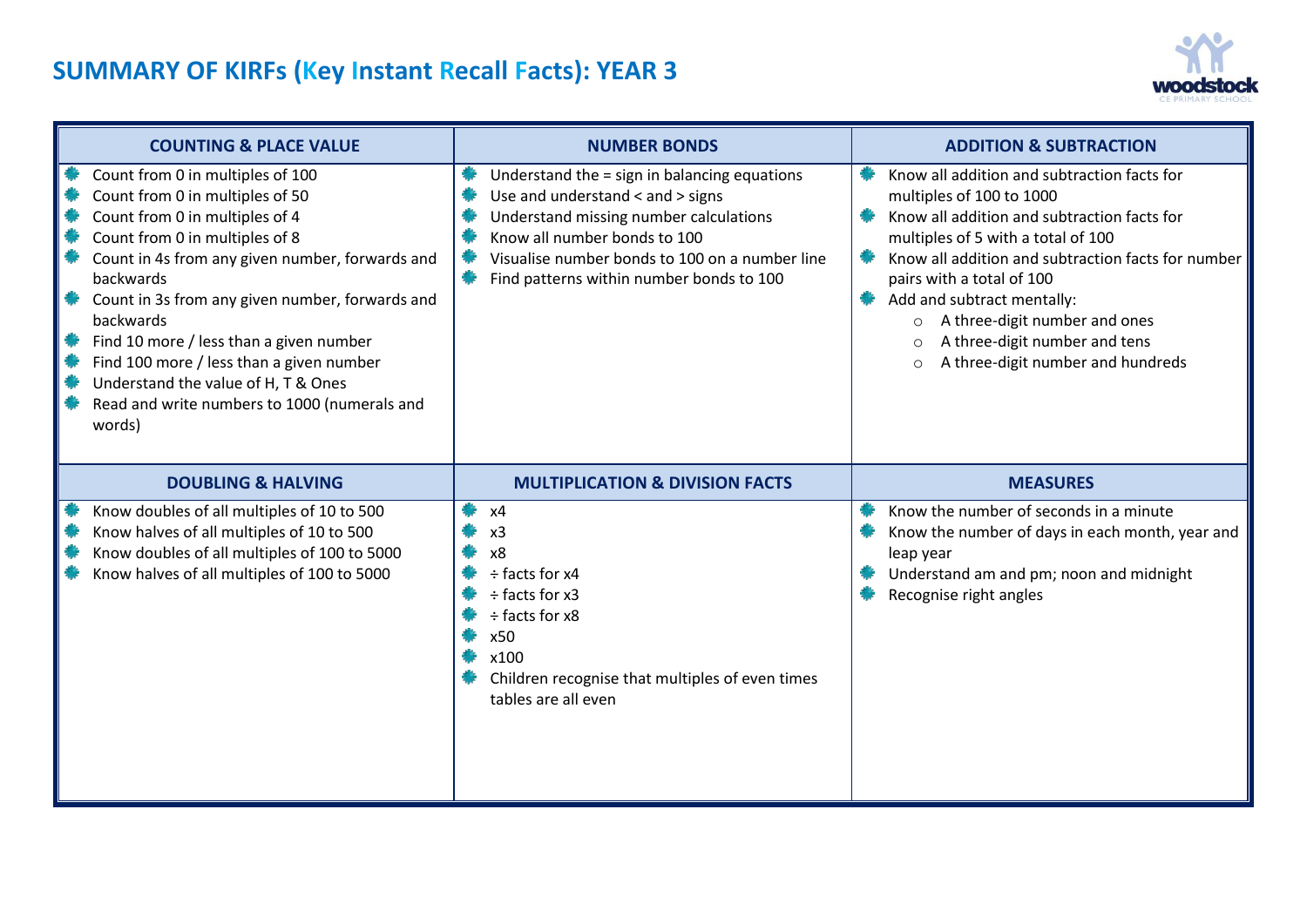

| <b>COUNTING &amp; PLACE VALUE</b>                                                                                                                                                                                                                                                                                                                                                                                                                               | <b>NUMBER BONDS</b>                                                                                                                                                                                                                                      | <b>ADDITION &amp; SUBTRACTION</b>                                                                                                                                                                                                                                                                                                                                                                            |
|-----------------------------------------------------------------------------------------------------------------------------------------------------------------------------------------------------------------------------------------------------------------------------------------------------------------------------------------------------------------------------------------------------------------------------------------------------------------|----------------------------------------------------------------------------------------------------------------------------------------------------------------------------------------------------------------------------------------------------------|--------------------------------------------------------------------------------------------------------------------------------------------------------------------------------------------------------------------------------------------------------------------------------------------------------------------------------------------------------------------------------------------------------------|
| Count from 0 in multiples of 100<br>Count from 0 in multiples of 50<br>Count from 0 in multiples of 4<br>Count from 0 in multiples of 8<br>Count in 4s from any given number, forwards and<br>backwards<br>Count in 3s from any given number, forwards and<br>backwards<br>Find 10 more / less than a given number<br>Find 100 more / less than a given number<br>Understand the value of H, T & Ones<br>Read and write numbers to 1000 (numerals and<br>words) | Understand the = sign in balancing equations<br>Use and understand < and > signs<br>Understand missing number calculations<br>Know all number bonds to 100<br>Visualise number bonds to 100 on a number line<br>Find patterns within number bonds to 100 | Know all addition and subtraction facts for<br>multiples of 100 to 1000<br>Know all addition and subtraction facts for<br>multiples of 5 with a total of 100<br>Know all addition and subtraction facts for number<br>pairs with a total of 100<br>Add and subtract mentally:<br>o A three-digit number and ones<br>A three-digit number and tens<br>$\circ$<br>A three-digit number and hundreds<br>$\circ$ |
| <b>DOUBLING &amp; HALVING</b>                                                                                                                                                                                                                                                                                                                                                                                                                                   | <b>MULTIPLICATION &amp; DIVISION FACTS</b>                                                                                                                                                                                                               | <b>MEASURES</b>                                                                                                                                                                                                                                                                                                                                                                                              |
| Know doubles of all multiples of 10 to 500<br>Know halves of all multiples of 10 to 500<br>Know doubles of all multiples of 100 to 5000<br>Know halves of all multiples of 100 to 5000                                                                                                                                                                                                                                                                          | x4<br>x <sub>3</sub><br>x8<br>÷ facts for x4<br>$\div$ facts for x3<br>÷ facts for x8<br>x50<br>x100<br>Children recognise that multiples of even times<br>tables are all even                                                                           | Know the number of seconds in a minute<br>Know the number of days in each month, year and<br>leap year<br>Understand am and pm; noon and midnight<br>Recognise right angles                                                                                                                                                                                                                                  |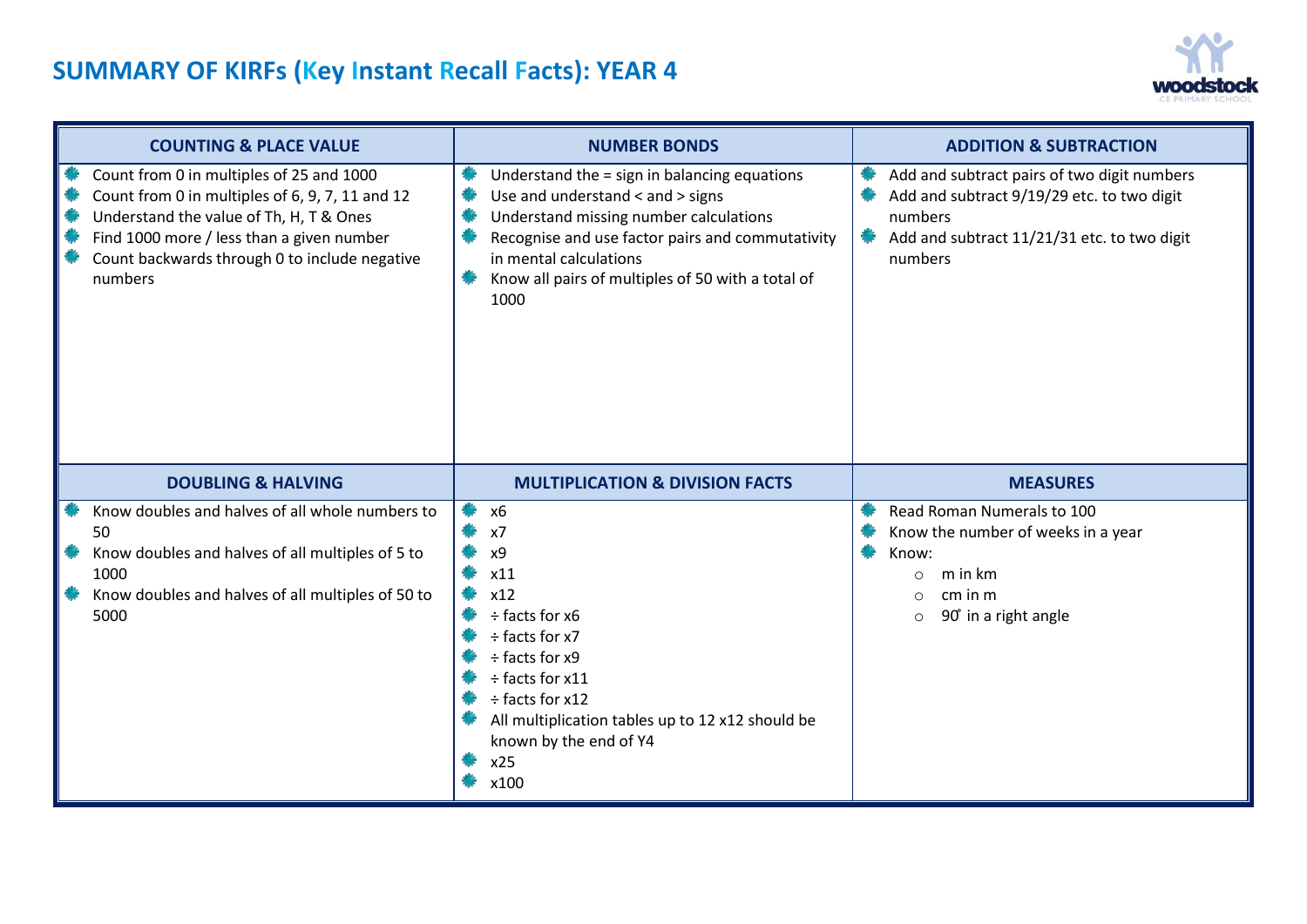

| <b>COUNTING &amp; PLACE VALUE</b>                                                                                                                                                                                                               | <b>NUMBER BONDS</b>                                                                                                                                                                                                                                                   | <b>ADDITION &amp; SUBTRACTION</b>                                                                                                                              |  |  |
|-------------------------------------------------------------------------------------------------------------------------------------------------------------------------------------------------------------------------------------------------|-----------------------------------------------------------------------------------------------------------------------------------------------------------------------------------------------------------------------------------------------------------------------|----------------------------------------------------------------------------------------------------------------------------------------------------------------|--|--|
| Count from 0 in multiples of 25 and 1000<br>Count from 0 in multiples of 6, 9, 7, 11 and 12<br>Understand the value of Th, H, T & Ones<br>Find 1000 more / less than a given number<br>Count backwards through 0 to include negative<br>numbers | Understand the = sign in balancing equations<br>Use and understand < and > signs<br>Understand missing number calculations<br>Recognise and use factor pairs and commutativity<br>in mental calculations<br>Know all pairs of multiples of 50 with a total of<br>1000 | Add and subtract pairs of two digit numbers<br>Add and subtract 9/19/29 etc. to two digit<br>numbers<br>Add and subtract 11/21/31 etc. to two digit<br>numbers |  |  |
| <b>DOUBLING &amp; HALVING</b>                                                                                                                                                                                                                   | <b>MULTIPLICATION &amp; DIVISION FACTS</b>                                                                                                                                                                                                                            | <b>MEASURES</b>                                                                                                                                                |  |  |
| Know doubles and halves of all whole numbers to<br>50<br>Know doubles and halves of all multiples of 5 to<br>1000<br>Know doubles and halves of all multiples of 50 to<br>5000                                                                  | <b>x6</b><br>x7<br>x9<br>x11<br>x12<br>÷ facts for x6<br>÷ facts for x7<br>÷ facts for x9<br>$\div$ facts for x11<br>÷ facts for x12<br>All multiplication tables up to 12 x12 should be<br>known by the end of Y4<br>x25<br>x100                                     | Read Roman Numerals to 100<br>Know the number of weeks in a year<br>Know:<br>m in km<br>$\circ$<br>cm in m<br>$\circ$<br>90° in a right angle<br>$\circ$       |  |  |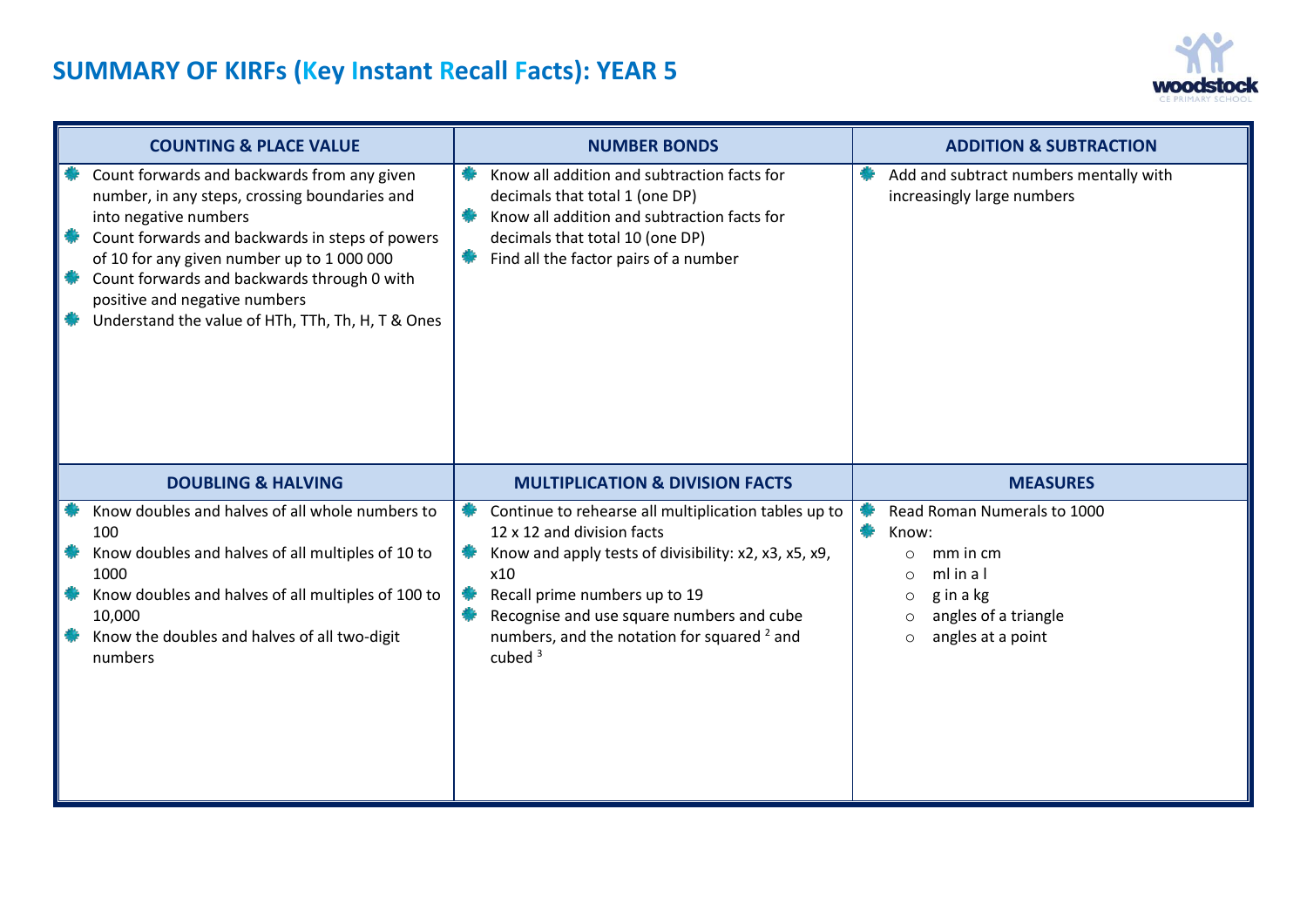

|        | <b>COUNTING &amp; PLACE VALUE</b>                                                                                                                                                                                                                                                                                                                           |  | <b>NUMBER BONDS</b>                                                                                                                                                                                                                                                                                     | <b>ADDITION &amp; SUBTRACTION</b>                                                                                                                                              |  |  |
|--------|-------------------------------------------------------------------------------------------------------------------------------------------------------------------------------------------------------------------------------------------------------------------------------------------------------------------------------------------------------------|--|---------------------------------------------------------------------------------------------------------------------------------------------------------------------------------------------------------------------------------------------------------------------------------------------------------|--------------------------------------------------------------------------------------------------------------------------------------------------------------------------------|--|--|
| 豢<br>欁 | Count forwards and backwards from any given<br>number, in any steps, crossing boundaries and<br>into negative numbers<br>Count forwards and backwards in steps of powers<br>of 10 for any given number up to 1 000 000<br>Count forwards and backwards through 0 with<br>positive and negative numbers<br>Understand the value of HTh, TTh, Th, H, T & Ones |  | Know all addition and subtraction facts for<br>decimals that total 1 (one DP)<br>Know all addition and subtraction facts for<br>decimals that total 10 (one DP)<br>Find all the factor pairs of a number                                                                                                | Add and subtract numbers mentally with<br>increasingly large numbers                                                                                                           |  |  |
|        | <b>DOUBLING &amp; HALVING</b>                                                                                                                                                                                                                                                                                                                               |  | <b>MULTIPLICATION &amp; DIVISION FACTS</b>                                                                                                                                                                                                                                                              | <b>MEASURES</b>                                                                                                                                                                |  |  |
|        | Know doubles and halves of all whole numbers to<br>100<br>Know doubles and halves of all multiples of 10 to<br>1000<br>Know doubles and halves of all multiples of 100 to<br>10,000<br>Know the doubles and halves of all two-digit<br>numbers                                                                                                              |  | Continue to rehearse all multiplication tables up to<br>12 x 12 and division facts<br>Know and apply tests of divisibility: x2, x3, x5, x9,<br>x10<br>Recall prime numbers up to 19<br>Recognise and use square numbers and cube<br>numbers, and the notation for squared <sup>2</sup> and<br>cubed $3$ | Read Roman Numerals to 1000<br>Know:<br>mm in cm<br>$\circ$<br>ml in a l<br>$\circ$<br>g in a kg<br>$\circ$<br>angles of a triangle<br>$\circ$<br>angles at a point<br>$\circ$ |  |  |